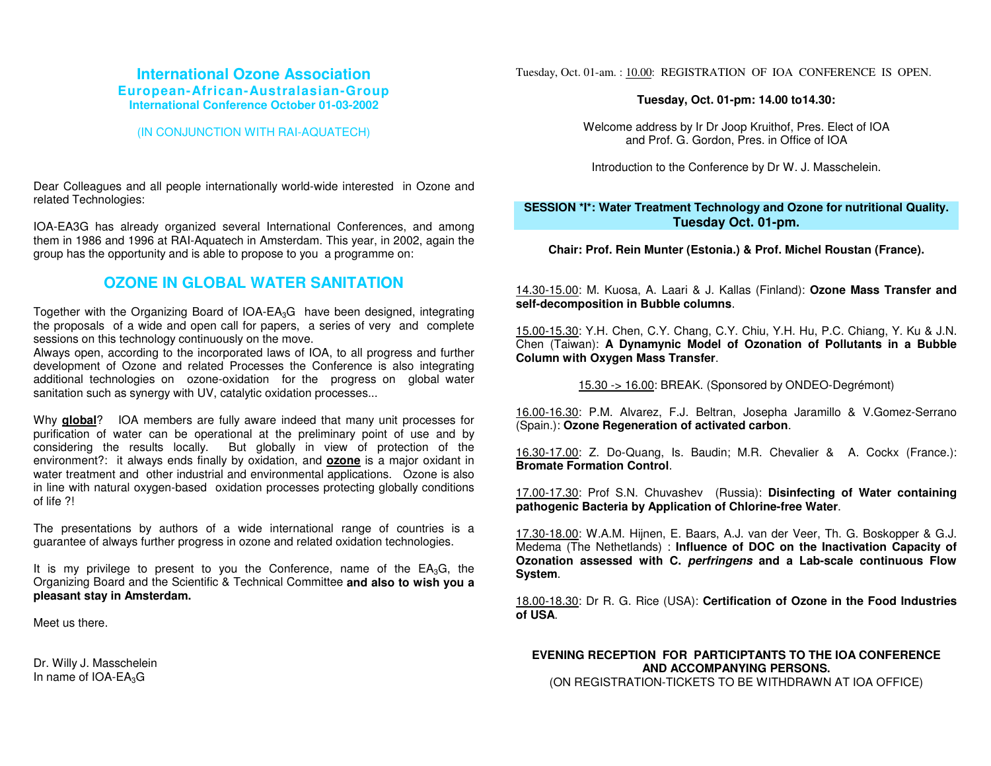# **International Ozone AssociationEuropean-African-Australasian-Group International Conference October 01-03-2002**

#### (IN CONJUNCTION WITH RAI-AQUATECH)

Dear Colleagues and all people internationally world-wide interested in Ozone and related Technologies:

IOA-EA3G has already organized several International Conferences, and among them in 1986 and 1996 at RAI-Aquatech in Amsterdam. This year, in 2002, again the group has the opportunity and is able to propose to you a programme on:

# **OZONE IN GLOBAL WATER SANITATION**

Together with the Organizing Board of  $IOA$ -EA<sub>3</sub>G have been designed, integrating the proposals of a wide and open call for papers, a series of very and complete sessions on this technology continuously on the move.

Always open, according to the incorporated laws of IOA, to all progress and further development of Ozone and related Processes the Conference is also integrating additional technologies on ozone-oxidation for the progress on global water sanitation such as synergy with UV, catalytic oxidation processes...

Why **global**? IOA members are fully aware indeed that many unit processes for purification of water can be operational at the preliminary point of use and by considering the results locally. But globally in view of protection of the environment?: it always ends finally by oxidation, and **ozone** is a major oxidant in water treatment and other industrial and environmental applications. Ozone is also in line with natural oxygen-based oxidation processes protecting globally conditions of life ?!

The presentations by authors of a wide international range of countries is a guarantee of always further progress in ozone and related oxidation technologies.

It is my privilege to present to you the Conference, name of the  $EA_3G$ , the Organizing Board and the Scientific & Technical Committee **and also to wish you a pleasant stay in Amsterdam.** 

Meet us there.

Dr. Willy J. Masschelein In name of IOA-EA<sub>3</sub>G

Tuesday, Oct. 01-am. : 10.00: REGISTRATION OF IOA CONFERENCE IS OPEN.

#### **Tuesday, Oct. 01-pm: 14.00 to14.30:**

Welcome address by Ir Dr Joop Kruithof, Pres. Elect of IOA and Prof. G. Gordon, Pres. in Office of IOA

Introduction to the Conference by Dr W. J. Masschelein.

### **SESSION \*I\*: Water Treatment Technology and Ozone for nutritional Quality. Tuesday Oct. 01-pm.**

**Chair: Prof. Rein Munter (Estonia.) & Prof. Michel Roustan (France).**

14.30-15.00: M. Kuosa, A. Laari & J. Kallas (Finland): **Ozone Mass Transfer and self-decomposition in Bubble columns**.

15.00-15.30: Y.H. Chen, C.Y. Chang, C.Y. Chiu, Y.H. Hu, P.C. Chiang, Y. Ku & J.N. Chen (Taiwan): **A Dynamynic Model of Ozonation of Pollutants in a Bubble Column with Oxygen Mass Transfer**.

15.30 -> 16.00: BREAK. (Sponsored by ONDEO-Degrémont)

16.00-16.30: P.M. Alvarez, F.J. Beltran, Josepha Jaramillo & V.Gomez-Serrano (Spain.): **Ozone Regeneration of activated carbon**.

16.30-17.00: Z. Do-Quang, Is. Baudin; M.R. Chevalier & A. Cockx (France.): **Bromate Formation Control**.

17.00-17.30: Prof S.N. Chuvashev (Russia): **Disinfecting of Water containing pathogenic Bacteria by Application of Chlorine-free Water**.

17.30-18.00: W.A.M. Hijnen, E. Baars, A.J. van der Veer, Th. G. Boskopper & G.J. Medema (The Nethetlands) : **Influence of DOC on the Inactivation Capacity of Ozonation assessed with C.** *perfringens* **and a Lab-scale continuous Flow System**.

18.00-18.30: Dr R. G. Rice (USA): **Certification of Ozone in the Food Industries of USA**.

# **EVENING RECEPTION FOR PARTICIPTANTS TO THE IOA CONFERENCEAND ACCOMPANYING PERSONS.**

(ON REGISTRATION-TICKETS TO BE WITHDRAWN AT IOA OFFICE)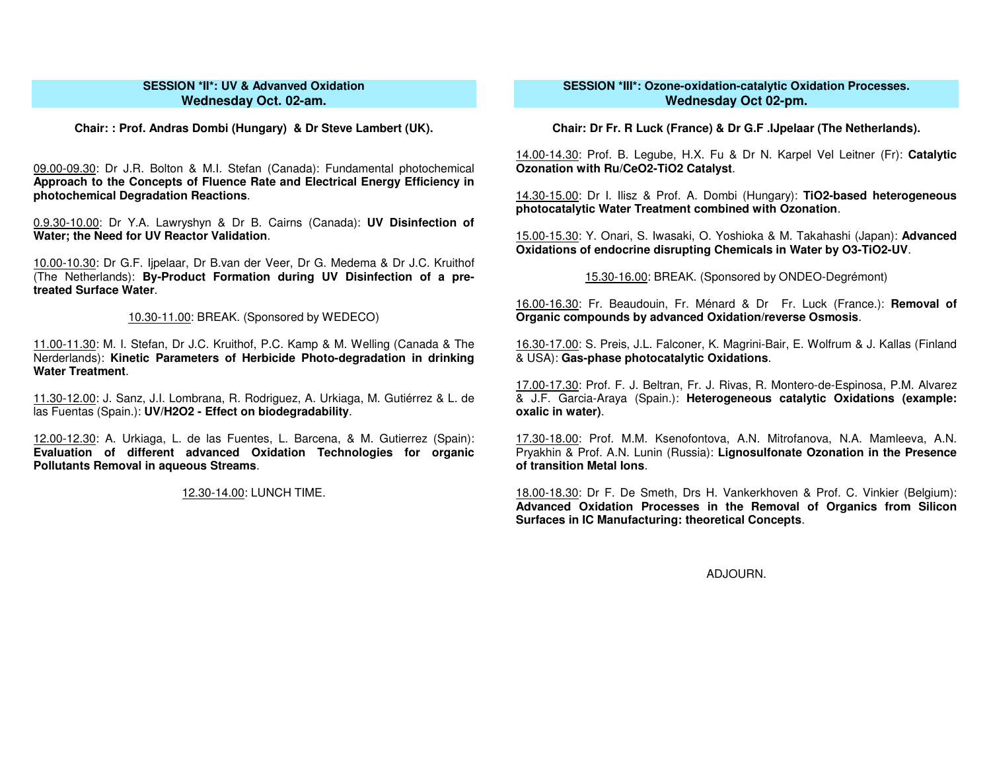### **SESSION \*II\*: UV & Advanved OxidationWednesday Oct. 02-am.**

**Chair: : Prof. Andras Dombi (Hungary) & Dr Steve Lambert (UK).**

09.00-09.30: Dr J.R. Bolton & M.I. Stefan (Canada): Fundamental photochemical **Approach to the Concepts of Fluence Rate and Electrical Energy Efficiency in photochemical Degradation Reactions**.

0.9.30-10.00: Dr Y.A. Lawryshyn & Dr B. Cairns (Canada): **UV Disinfection of Water; the Need for UV Reactor Validation**.

10.00-10.30: Dr G.F. Ijpelaar, Dr B.van der Veer, Dr G. Medema & Dr J.C. Kruithof (The Netherlands): **By-Product Formation during UV Disinfection of a pretreated Surface Water**.

10.30-11.00: BREAK. (Sponsored by WEDECO)

11.00-11.30: M. I. Stefan, Dr J.C. Kruithof, P.C. Kamp & M. Welling (Canada & The Nerderlands): **Kinetic Parameters of Herbicide Photo-degradation in drinking Water Treatment**.

11.30-12.00: J. Sanz, J.I. Lombrana, R. Rodriguez, A. Urkiaga, M. Gutiérrez & L. de las Fuentas (Spain.): **UV/H2O2 - Effect on biodegradability**.

12.00-12.30: A. Urkiaga, L. de las Fuentes, L. Barcena, & M. Gutierrez (Spain): **Evaluation of different advanced Oxidation Technologies for organic Pollutants Removal in aqueous Streams**.

12.30-14.00: LUNCH TIME.

## **SESSION \*III\*: Ozone-oxidation-catalytic Oxidation Processes. Wednesday Oct 02-pm.**

**Chair: Dr Fr. R Luck (France) & Dr G.F .IJpelaar (The Netherlands).**

14.00-14.30: Prof. B. Legube, H.X. Fu & Dr N. Karpel Vel Leitner (Fr): **Catalytic Ozonation with Ru/CeO2-TiO2 Catalyst**.

14.30-15.00: Dr I. Ilisz & Prof. A. Dombi (Hungary): **TiO2-based heterogeneous photocatalytic Water Treatment combined with Ozonation**.

15.00-15.30: Y. Onari, S. Iwasaki, O. Yoshioka & M. Takahashi (Japan): **Advanced Oxidations of endocrine disrupting Chemicals in Water by O3-TiO2-UV**.

15.30-16.00: BREAK. (Sponsored by ONDEO-Degrémont)

16.00-16.30: Fr. Beaudouin, Fr. Ménard & Dr Fr. Luck (France.): **Removal of Organic compounds by advanced Oxidation/reverse Osmosis**.

16.30-17.00: S. Preis, J.L. Falconer, K. Magrini-Bair, E. Wolfrum & J. Kallas (Finland & USA): **Gas-phase photocatalytic Oxidations**.

17.00-17.30: Prof. F. J. Beltran, Fr. J. Rivas, R. Montero-de-Espinosa, P.M. Alvarez & J.F. Garcia-Araya (Spain.): **Heterogeneous catalytic Oxidations (example: oxalic in water)**.

17.30-18.00: Prof. M.M. Ksenofontova, A.N. Mitrofanova, N.A. Mamleeva, A.N. Pryakhin & Prof. A.N. Lunin (Russia): **Lignosulfonate Ozonation in the Presence of transition Metal Ions**.

18.00-18.30: Dr F. De Smeth, Drs H. Vankerkhoven & Prof. C. Vinkier (Belgium): **Advanced Oxidation Processes in the Removal of Organics from Silicon Surfaces in IC Manufacturing: theoretical Concepts**.

ADJOURN.